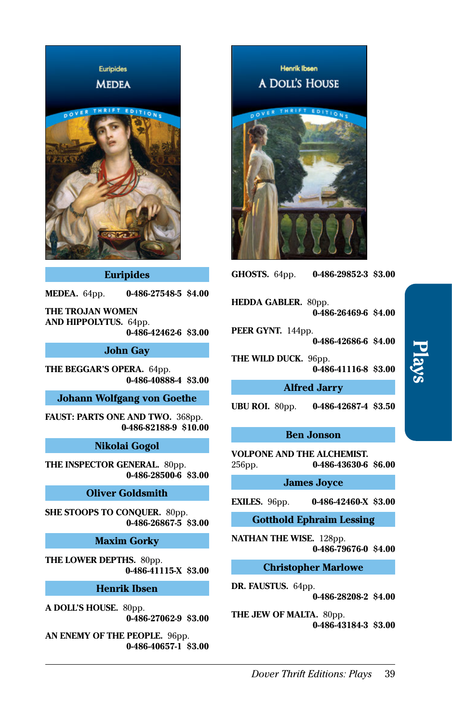

### **Euripides**

**MEDEA.** 64pp. **[0-486-27548-5](http://store.doverpublications.com/0486275485.html) \$4.00**

**THE TROJAN WOMEN AND HIPPOLYTUS.** 64pp. **[0-486-42462-6](http://store.doverpublications.com/0486424626.html) \$3.00**

### **John Gay**

**THE BEGGAR'S OPERA.** 64pp. **[0-486-40888-4](http://store.doverpublications.com/0486408884.html) \$3.00**

### **Johann Wolfgang von Goethe**

**FAUST: PARTS ONE AND TWO. 368pp. [0-486-82188-9](http://store.doverpublications.com/0486821889.html) \$10.00**

### **Nikolai Gogol**

**THE INSPECTOR GENERAL.** 80pp. **[0-486-28500-6](http://store.doverpublications.com/0486285006.html) \$3.00**

#### **Oliver Goldsmith**

**SHE STOOPS TO CONQUER.** 80pp. **[0-486-26867-5](http://store.doverpublications.com/0486268675.html) \$3.00**

# **Maxim Gorky**

**THE LOWER DEPTHS.** 80pp. **[0-486-41115-X](http://store.doverpublications.com/048641115x.html) \$3.00**

### **Henrik Ibsen**

**A DOLL'S HOUSE.** 80pp. **[0-486-27062-9](http://store.doverpublications.com/0486270629.html) \$3.00**

**AN ENEMY OF THE PEOPLE.** 96pp. **[0-486-40657-1](http://store.doverpublications.com/0486406571.html) \$3.00**

Henrik Ibsen A DOLL'S HOUSE



**GHOSTS.** 64pp. **[0-486-29852-3](http://store.doverpublications.com/0486298523.html) \$3.00**

**HEDDA GABLER.** 80pp. **[0-486-26469-6](http://store.doverpublications.com/0486264696.html) \$4.00**

**PEER GYNT.** 144pp.

**[0-486-42686-6](http://store.doverpublications.com/0486426866.html) \$4.00**

**THE WILD DUCK.** 96pp.

**[0-486-41116-8](http://store.doverpublications.com/0486411168.html) \$3.00**

### **Alfred Jarry**

**UBU ROI.** 80pp. **[0-486-42687-4](http://store.doverpublications.com/0486426874.html) \$3.50**

# **Ben Jonson**

**VOLPONE AND THE ALCHEMIST.**  256pp. **[0-486-43630-6](http://store.doverpublications.com/0486436306.html) \$6.00**

# **James Joyce**

**EXILES.** 96pp. **[0-486-42460-X](http://store.doverpublications.com/048642460x.html) \$3.00**

**Gotthold Ephraim Lessing**

**NATHAN THE WISE.** 128pp. **[0-486-79676-0](http://store.doverpublications.com/0486796760.html) \$4.00**

**Christopher Marlowe**

**DR. FAUSTUS.** 64pp. **[0-486-28208-2](http://store.doverpublications.com/0486282082.html) \$4.00**

**THE JEW OF MALTA.** 80pp. **[0-486-43184-3](http://store.doverpublications.com/0486431843.html) \$3.00**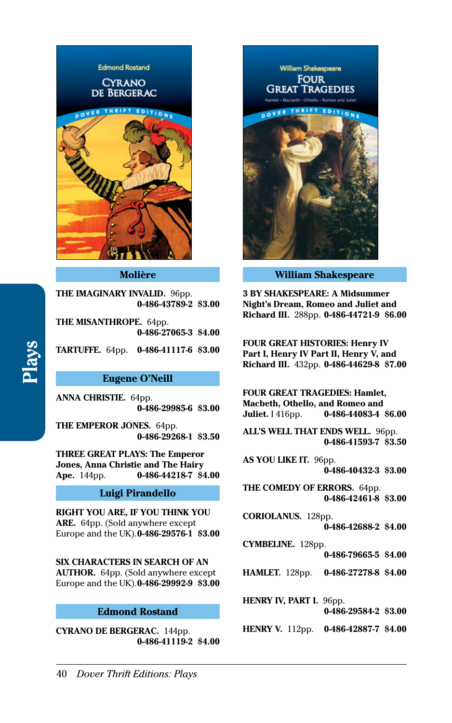

#### **Molière**

**THE IMAGINARY INVALID.** 96pp. **[0-486-43789-2](http://store.doverpublications.com/0486437892.html) \$3.00**

**THE MISANTHROPE.** 64pp. **[0-486-27065-3](http://store.doverpublications.com/0486270653.html) \$4.00**

**TARTUFFE.** 64pp. **[0-486-41117-6](http://store.doverpublications.com/0486411176.html) \$3.00**

### **Eugene O'Neill**

**ANNA CHRISTIE.** 64pp. **[0-486-29985-6](http://store.doverpublications.com/0486299856.html) \$3.00**

**THE EMPEROR JONES.** 64pp. **[0-486-29268-1](http://store.doverpublications.com/0486292681.html) \$3.50**

**THREE GREAT PLAYS: The Emperor Jones, Anna Christie and The Hairy Ape.** 144pp. **[0-486-44218-7](http://store.doverpublications.com/0486442187.html) \$4.00**

## **Luigi Pirandello**

**RIGHT YOU ARE, IF YOU THINK YOU ARE.** 64pp. (Sold anywhere except Europe and the UK). **[0-486-29576-1](http://store.doverpublications.com/0486295761.html) \$3.00**

**[0-486-79665-5](http://store.doverpublications.com/0486796655.html) \$4.00 SIX CHARACTERS IN SEARCH OF AN AUTHOR.** 64pp. (Sold anywhere except Europe and the UK). **[0-486-29992-9](http://store.doverpublications.com/0486299929.html) \$3.00**

#### **Edmond Rostand**

**CYRANO DE BERGERAC.** 144pp. **[0-486-41119-2](http://store.doverpublications.com/0486411192.html) \$4.00**



**William Shakespeare**

**3 BY SHAKESPEARE: A Midsummer Night's Dream, Romeo and Juliet and Richard III.** 288pp. **[0-486-44721-9](http://store.doverpublications.com/0486447219.html) \$6.00**

**FOUR GREAT HISTORIES: Henry IV Part I, Henry IV Part II, Henry V, and Richard III.** 432pp. **[0-486-44629-8](http://store.doverpublications.com/0486446298.html) \$7.00**

**FOUR GREAT TRAGEDIES: Hamlet, Macbeth, Othello, and Romeo and Juliet.** I 416pp. **[0-486-44083-4](http://store.doverpublications.com/0486440834.html) \$6.00**

**ALL'S WELL THAT ENDS WELL.** 96pp. **[0-486-41593-7](http://store.doverpublications.com/0486415937.html) \$3.50**

**AS YOU LIKE IT.** 96pp. **[0-486-40432-3](http://store.doverpublications.com/0486404323.html) \$3.00**

**THE COMEDY OF ERRORS.** 64pp. **[0-486-42461-8](http://store.doverpublications.com/0486424618.html) \$3.00**

- **CORIOLANUS.** 128pp. **[0-486-42688-2](http://store.doverpublications.com/0486426882.html) \$4.00**
- **CYMBELINE.** 128pp.
	-
- **HAMLET.** 128pp. **[0-486-27278-8](http://store.doverpublications.com/0486272788.html) \$4.00**

**HENRY IV, PART I. 96pp.** 

- **[0-486-29584-2](http://store.doverpublications.com/0486295842.html) \$3.00**
- **HENRY V.** 112pp. **[0-486-42887-7](http://store.doverpublications.com/0486428877.html) \$4.00**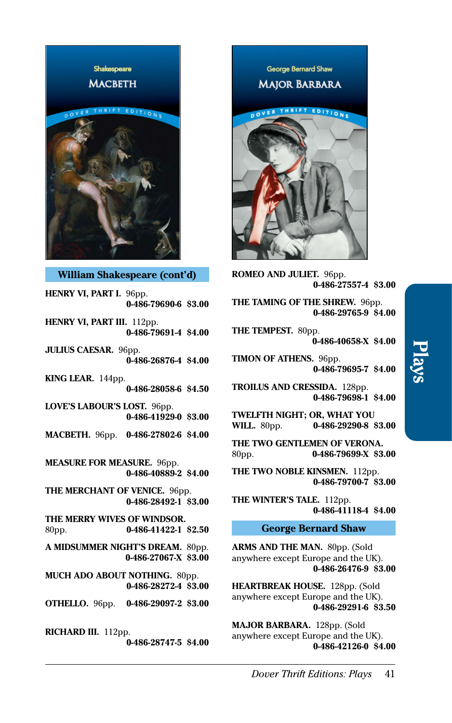

**William Shakespeare (cont'd)**

**HENRY VI, PART I.** 96pp. **[0-486-79690-6](http://store.doverpublications.com/0486796906.html) \$3.00 HENRY VI, PART III.** 112pp.

**[0-486-79691-4](http://store.doverpublications.com/0486796914.html) \$4.00**

**JULIUS CAESAR.** 96pp. **[0-486-26876-4](http://store.doverpublications.com/0486268764.html) \$4.00**

**KING LEAR.** 144pp. **[0-486-28058-6](http://store.doverpublications.com/0486280586.html) \$4.50**

**LOVE'S LABOUR'S LOST.** 96pp. **[0-486-41929-0](http://store.doverpublications.com/0486419290.html) \$3.00**

**MACBETH.** 96pp. **[0-486-27802-6](http://store.doverpublications.com/0486278026.html) \$4.00**

**MEASURE FOR MEASURE.** 96pp. **[0-486-40889-2](http://store.doverpublications.com/0486408892.html) \$4.00**

**THE MERCHANT OF VENICE.** 96pp. **[0-486-28492-1](http://store.doverpublications.com/0486284921.html) \$3.00**

**THE MERRY WIVES OF WINDSOR.**  80pp. **[0-486-41422-1](http://store.doverpublications.com/0486414221.html) \$2.50**

**A MIDSUMMER NIGHT'S DREAM.** 80pp. **[0-486-27067-X](http://store.doverpublications.com/048627067x.html) \$3.00**

**MUCH ADO ABOUT NOTHING.** 80pp. **[0-486-28272-4](http://store.doverpublications.com/0486282724.html) \$3.00**

**OTHELLO.** 96pp. **[0-486-29097-2](http://store.doverpublications.com/0486290972.html) \$3.00**

**RICHARD III.** 112pp.

**[0-486-28747-5](http://store.doverpublications.com/0486287475.html) \$4.00**

George Bernard Shaw **MAJOR BARBARA** THRIFT EDITIONS

**ROMEO AND JULIET.** 96pp. **[0-486-27557-4](http://store.doverpublications.com/0486275574.html) \$3.00**

**THE TAMING OF THE SHREW.** 96pp. **[0-486-29765-9](http://store.doverpublications.com/0486297659.html) \$4.00**

**THE TEMPEST.** 80pp.

**[0-486-40658-X](http://store.doverpublications.com/048640658x.html) \$4.00**

**TIMON OF ATHENS.** 96pp. **[0-486-79695-7](http://store.doverpublications.com/0486796957.html) \$4.00**

**TROILUS AND CRESSIDA.** 128pp. **[0-486-79698-1](http://store.doverpublications.com/0486796981.html) \$4.00**

**TWELFTH NIGHT; OR, WHAT YOU WILL.** 80pp. **[0-486-29290-8](http://store.doverpublications.com/0486292908.html) \$3.00**

**THE TWO GENTLEMEN OF VERONA.**  80pp. **[0-486-79699-X](http://store.doverpublications.com/048679699x.html) \$3.00**

**THE TWO NOBLE KINSMEN.** 112pp. **[0-486-79700-7](http://store.doverpublications.com/0486797007.html) \$3.00**

**THE WINTER'S TALE.** 112pp. **[0-486-41118-4](http://store.doverpublications.com/0486411184.html) \$4.00**

## **George Bernard Shaw**

**ARMS AND THE MAN.** 80pp. (Sold anywhere except Europe and the UK). **[0-486-26476-9](http://store.doverpublications.com/0486264769.html) \$3.00**

**HEARTBREAK HOUSE.** 128pp. (Sold anywhere except Europe and the UK). **[0-486-29291-6](http://store.doverpublications.com/0486292916.html) \$3.50**

**MAJOR BARBARA.** 128pp. (Sold anywhere except Europe and the UK). **[0-486-42126-0](http://store.doverpublications.com/0486421260.html) \$4.00**